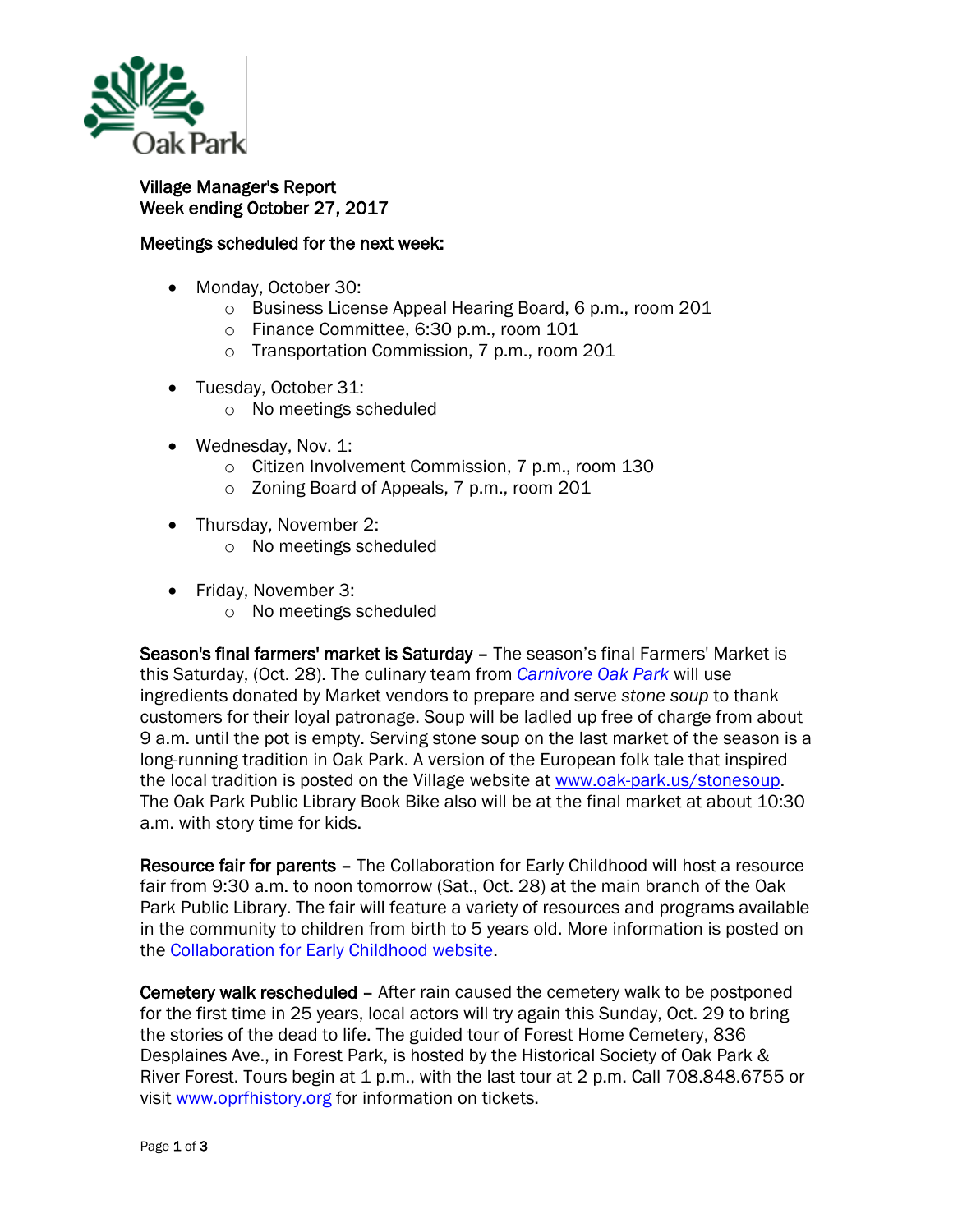

## Village Manager's Report Week ending October 27, 2017

## Meetings scheduled for the next week:

- Monday, October 30:
	- o Business License Appeal Hearing Board, 6 p.m., room 201
	- o Finance Committee, 6:30 p.m., room 101
	- o Transportation Commission, 7 p.m., room 201
- Tuesday, October 31:
	- o No meetings scheduled
- Wednesday, Nov. 1:
	- o Citizen Involvement Commission, 7 p.m., room 130
	- o Zoning Board of Appeals, 7 p.m., room 201
- Thursday, November 2:
	- o No meetings scheduled
- Friday, November 3:
	- o No meetings scheduled

Season's final farmers' market is Saturday - The season's final Farmers' Market is this Saturday, (Oct. 28). The culinary team from *[Carnivore Oak Park](http://r20.rs6.net/tn.jsp?f=001tjNjSm-4OO8eBUCQPE3RUgz3aA33Jkvj3jbmGGLNceJwtriCgzzGXccVc-yaGpb9AmaZrkXFoKu6zM_FV_gQQMFn8DuTrCLZzOs2QnM_WPaThdhNSfkAl-CNbHCfZcr4FkdHRthxnU_P35y48McYl090IlFYNfZ3ZDAbRwXiQk44ljvBCQd3XzwjM4SyvtOM8FNM5XnBiGTmt86rXDQNaQAyYBg3SChS7g4JvvCbGMdUGS7IwWxWCo_WMUqi66zkIOScNSST1HILrFaTPqEZbF_luIJUG6EF&c=_rdbFQ-o7Il1kiMVnKhngn_eyaBriLEvZgBb6aJCK_v_hDOQZ0oqBg==&ch=w8hSsvpVNpEHqMZTEwHmfSNLjKszYMIPOgQDCcEtWRW4ZUFSG2hVkw==)* will use ingredients donated by Market vendors to prepare and serve *stone soup* to thank customers for their loyal patronage. Soup will be ladled up free of charge from about 9 a.m. until the pot is empty. Serving stone soup on the last market of the season is a long-running tradition in Oak Park. A version of the European folk tale that inspired the local tradition is posted on the Village website at [www.oak-park.us/stonesoup.](http://r20.rs6.net/tn.jsp?f=001tjNjSm-4OO8eBUCQPE3RUgz3aA33Jkvj3jbmGGLNceJwtriCgzzGXccVc-yaGpb9LmsT7abt_Tp7H3sDzTIbbLKVcad8a9__qjY4Z23gMIugc3SODPdV6pebKZp05j3vdilGBETE543zSAz_Ze_XLqgtc1LV-MVQzCcWQFBoDCC6svdRK7FtQIhqinxXLXc0fZOYkJjxD4vNDBcC0hxnguds1RXf-mGQjjo4msfgEr0TojnXvUneJrPMVvWibM3VwoX3okgI2v-x-iIlARNF3ovPMTcDVj3e&c=_rdbFQ-o7Il1kiMVnKhngn_eyaBriLEvZgBb6aJCK_v_hDOQZ0oqBg==&ch=w8hSsvpVNpEHqMZTEwHmfSNLjKszYMIPOgQDCcEtWRW4ZUFSG2hVkw==) The Oak Park Public Library Book Bike also will be at the final market at about 10:30 a.m. with story time for kids.

Resource fair for parents – The Collaboration for Early Childhood will host a resource fair from 9:30 a.m. to noon tomorrow (Sat., Oct. 28) at the main branch of the Oak Park Public Library. The fair will feature a variety of resources and programs available in the community to children from birth to 5 years old. More information is posted on the [Collaboration for Early Childhood website.](http://r20.rs6.net/tn.jsp?f=001tjNjSm-4OO8eBUCQPE3RUgz3aA33Jkvj3jbmGGLNceJwtriCgzzGXccVc-yaGpb9mSw-e5tMC-_clk04DtR0FrkUVZ09SHH_VHDkm0tHWbMK-H9hEa6iDh0Jdt0_OI1VznexsowAP5KtRRfstcg5H_QyZLU6MG_LMZyRIqY3le62nyy4dNz7AzAiVpV_gHVAnJBr7GWt3sPfCrmHxszNSNjcEs2rBxgF9q0yXStbX84BG5WxFnHxqvO9hfmrLDBuQAP_KdxCbmltGz9u7uhNFMMSOdw1s8ZFKwWeaPHcp3XqB0RQPdASZYvahdDsDO_v&c=_rdbFQ-o7Il1kiMVnKhngn_eyaBriLEvZgBb6aJCK_v_hDOQZ0oqBg==&ch=w8hSsvpVNpEHqMZTEwHmfSNLjKszYMIPOgQDCcEtWRW4ZUFSG2hVkw==)

Cemetery walk rescheduled – After rain caused the cemetery walk to be postponed for the first time in 25 years, local actors will try again this Sunday, Oct. 29 to bring the stories of the dead to life. The guided tour of Forest Home Cemetery, 836 Desplaines Ave., in Forest Park, is hosted by the Historical Society of Oak Park & River Forest. Tours begin at 1 p.m., with the last tour at 2 p.m. Call 708.848.6755 or visit [www.oprfhistory.org](http://r20.rs6.net/tn.jsp?f=001tjNjSm-4OO8eBUCQPE3RUgz3aA33Jkvj3jbmGGLNceJwtriCgzzGXccVc-yaGpb9tI2iVZKHXW1C8lsLiexOIxSoqBTF9fsr4zwrZqjQOqXmhvVqrshQ_QBYcxZ7urAcDVy_ReMp1-O2-9PVXPULK5Pof-liNjB_OLqd86yF9y3ovn5iEcl1i__s9vg303PbaiLe8bi6pWdvWWuW_8FBowB3W-or93tO9M8n-HMRCuptaQ9kT3GjCq3L1rDE63-d8pyviOpGFXH8Ttpk9I7C8V54ndZJwi3lRG4W1B8ni1XeWfE49lHbdCD9uFgIcnqQ2Bs7tMd7i4IkWUvkMY7YvEI5o6j1neC4NYZmdnZiTKwvF_l61bEtR6HtHF2ugOb2Ttb2UEDZQ5BngdKa8LtUeUF63MYatvHXIm0s0NfK7SFDC_cMlr65VIlxaBs59eM5BB159bKNUSfKDjJr-7BVIMaHAdUS41gG0WBSN3EOrdG8IplGPITQ9V9ccmTrC2YX5bN3cDqesEX1evd_ZmQuTCdD4EAjesqODKKEOcJa-fBmWcQSwLxw1vRYYrRuaPcvFONnJqAfL-xe4kizA7lmnz11DUuiqA73e7-gMbLEE6jXR5ba8BTqXLiGMqjnkbg3Zw5IGWuE0Q7DITa33FYvAdJIZlb-104ywLN2w0S1caf36Fpj_efbFr8H4BZc1fojcWMMcrygwws=&c=_rdbFQ-o7Il1kiMVnKhngn_eyaBriLEvZgBb6aJCK_v_hDOQZ0oqBg==&ch=w8hSsvpVNpEHqMZTEwHmfSNLjKszYMIPOgQDCcEtWRW4ZUFSG2hVkw==) for information on tickets.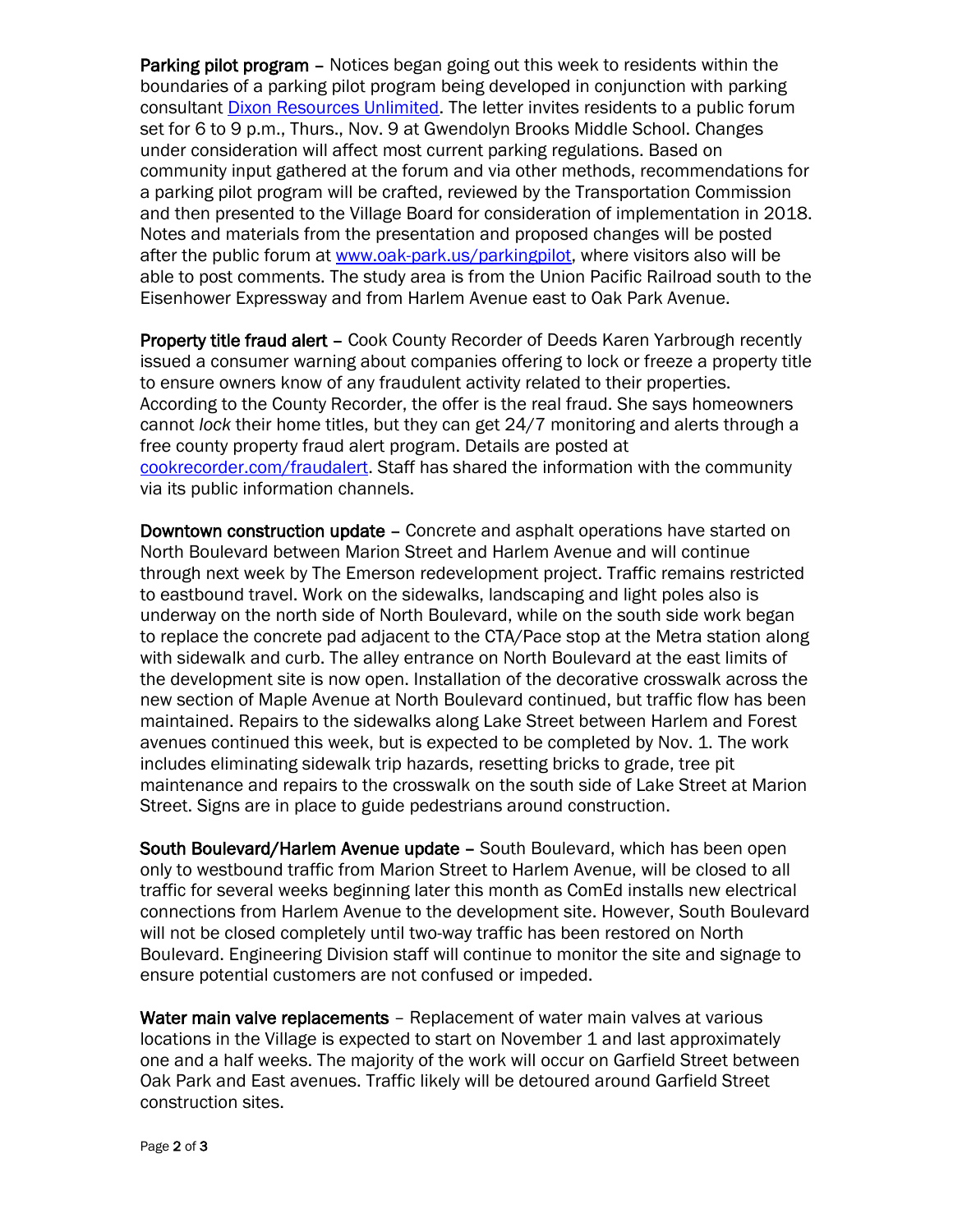Parking pilot program – Notices began going out this week to residents within the boundaries of a parking pilot program being developed in conjunction with parking consultant [Dixon Resources Unlimited.](http://www.dixonresourcesunlimited.com/) The letter invites residents to a public forum set for 6 to 9 p.m., Thurs., Nov. 9 at Gwendolyn Brooks Middle School. Changes under consideration will affect most current parking regulations. Based on community input gathered at the forum and via other methods, recommendations for a parking pilot program will be crafted, reviewed by the Transportation Commission and then presented to the Village Board for consideration of implementation in 2018. Notes and materials from the presentation and proposed changes will be posted after the public forum at [www.oak-park.us/parkingpilot,](http://www.oak-park.us/parkingpilot) where visitors also will be able to post comments. The study area is from the Union Pacific Railroad south to the Eisenhower Expressway and from Harlem Avenue east to Oak Park Avenue.

Property title fraud alert – Cook County Recorder of Deeds Karen Yarbrough recently issued a consumer warning about companies offering to lock or freeze a property title to ensure owners know of any fraudulent activity related to their properties. According to the County Recorder, the offer is the real fraud. She says homeowners cannot *lock* their home titles, but they can get 24/7 monitoring and alerts through a free county property fraud alert program. Details are posted at [cookrecorder.com/fraudalert.](http://r20.rs6.net/tn.jsp?f=001tjNjSm-4OO8eBUCQPE3RUgz3aA33Jkvj3jbmGGLNceJwtriCgzzGXccVc-yaGpb9O80uIrcjyLbHuQgpuAJb5MUVbMM7-xxdr8XITpBPaPue_XwyyR0g_N6siPF4mQW6W-lLWJkGc8LXiJ5Ya2xuTMeKLL2_B1m7aSyG-d-MXGWyiR-2v8nTvkM-LVMgHQBhTw-wbmE83o1AdBe6EV_s1Xgu0VODX2kw_N5Xwc6m1x5cr3-bdHu87yDXu6aCeKW1LvgS-tDl-kFlceG8ECYK-zywPjJfdn6P6I7mhewuYsE=&c=_rdbFQ-o7Il1kiMVnKhngn_eyaBriLEvZgBb6aJCK_v_hDOQZ0oqBg==&ch=w8hSsvpVNpEHqMZTEwHmfSNLjKszYMIPOgQDCcEtWRW4ZUFSG2hVkw==) Staff has shared the information with the community via its public information channels.

Downtown construction update – Concrete and asphalt operations have started on North Boulevard between Marion Street and Harlem Avenue and will continue through next week by The Emerson redevelopment project. Traffic remains restricted to eastbound travel. Work on the sidewalks, landscaping and light poles also is underway on the north side of North Boulevard, while on the south side work began to replace the concrete pad adjacent to the CTA/Pace stop at the Metra station along with sidewalk and curb. The alley entrance on North Boulevard at the east limits of the development site is now open. Installation of the decorative crosswalk across the new section of Maple Avenue at North Boulevard continued, but traffic flow has been maintained. Repairs to the sidewalks along Lake Street between Harlem and Forest avenues continued this week, but is expected to be completed by Nov. 1. The work includes eliminating sidewalk trip hazards, resetting bricks to grade, tree pit maintenance and repairs to the crosswalk on the south side of Lake Street at Marion Street. Signs are in place to guide pedestrians around construction.

South Boulevard/Harlem Avenue update – South Boulevard, which has been open only to westbound traffic from Marion Street to Harlem Avenue, will be closed to all traffic for several weeks beginning later this month as ComEd installs new electrical connections from Harlem Avenue to the development site. However, South Boulevard will not be closed completely until two-way traffic has been restored on North Boulevard. Engineering Division staff will continue to monitor the site and signage to ensure potential customers are not confused or impeded.

Water main valve replacements - Replacement of water main valves at various locations in the Village is expected to start on November 1 and last approximately one and a half weeks. The majority of the work will occur on Garfield Street between Oak Park and East avenues. Traffic likely will be detoured around Garfield Street construction sites.